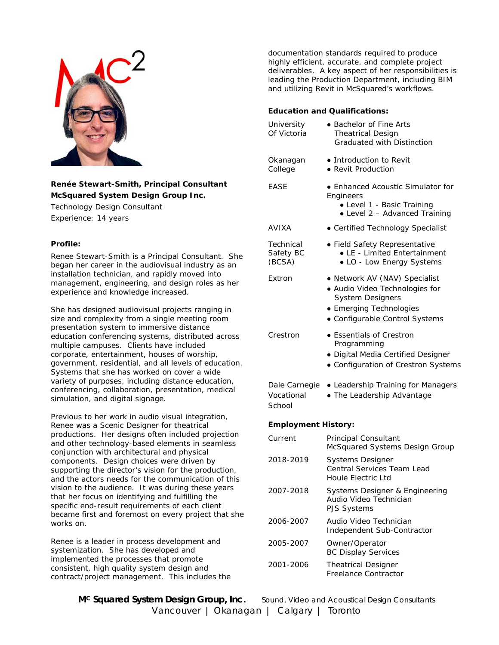

# **Renée Stewart-Smith, Principal Consultant McSquared System Design Group Inc.**

Technology Design Consultant Experience: 14 years

### **Profile:**

Renee Stewart-Smith is a Principal Consultant. She began her career in the audiovisual industry as an installation technician, and rapidly moved into management, engineering, and design roles as her experience and knowledge increased.

She has designed audiovisual projects ranging in size and complexity from a single meeting room presentation system to immersive distance education conferencing systems, distributed across multiple campuses. Clients have included corporate, entertainment, houses of worship, government, residential, and all levels of education. Systems that she has worked on cover a wide variety of purposes, including distance education, conferencing, collaboration, presentation, medical simulation, and digital signage.

Previous to her work in audio visual integration, Renee was a Scenic Designer for theatrical productions. Her designs often included projection and other technology-based elements in seamless conjunction with architectural and physical components. Design choices were driven by supporting the director's vision for the production, and the actors needs for the communication of this vision to the audience. It was during these years that her focus on identifying and fulfilling the specific end-result requirements of each client became first and foremost on every project that she works on.

Renee is a leader in process development and systemization. She has developed and implemented the processes that promote consistent, high quality system design and contract/project management. This includes the documentation standards required to produce highly efficient, accurate, and complete project deliverables. A key aspect of her responsibilities is leading the Production Department, including BIM and utilizing Revit in McSquared's workflows.

## **Education and Qualifications:**

| University<br>Of Victoria             | • Bachelor of Fine Arts<br><b>Theatrical Design</b><br><b>Graduated with Distinction</b>                                                                |
|---------------------------------------|---------------------------------------------------------------------------------------------------------------------------------------------------------|
| Okanagan<br>College                   | • Introduction to Revit<br>• Revit Production                                                                                                           |
| EASE                                  | • Enhanced Acoustic Simulator for<br>Engineers<br>• Level 1 - Basic Training<br>• Level 2 - Advanced Training                                           |
| AVIXA                                 | • Certified Technology Specialist                                                                                                                       |
| Technical<br>Safety BC<br>(BCSA)      | • Field Safety Representative<br>• LE - Limited Entertainment<br>• LO - Low Energy Systems                                                              |
| Extron                                | · Network AV (NAV) Specialist<br>• Audio Video Technologies for<br><b>System Designers</b><br>• Emerging Technologies<br>• Configurable Control Systems |
| Crestron                              | • Essentials of Crestron<br>Programming<br>· Digital Media Certified Designer<br>• Configuration of Crestron Systems                                    |
| Dale Carnegie<br>Vocational<br>School | • Leadership Training for Managers<br>• The Leadership Advantage                                                                                        |
| <b>Employment History:</b>            |                                                                                                                                                         |
| Current                               | <b>Principal Consultant</b><br>McSquared Systems Design Group                                                                                           |
| 2018-2019                             | <b>Systems Designer</b><br>Central Services Team Lead<br>Houle Electric Ltd                                                                             |
| 2007-2018                             | Systems Designer & Engineering<br>Audio Video Technician<br>PJS Systems                                                                                 |
| 2006-2007                             | Audio Video Technician<br>Independent Sub-Contractor                                                                                                    |
| 2005-2007                             | Owner/Operator<br><b>BC Display Services</b>                                                                                                            |
| 2001-2006                             | <b>Theatrical Designer</b><br>Freelance Contractor                                                                                                      |

**MC Squared System Design Group, Inc.** *Sound, Video and Acoustical Design Consultants* Vancouver | Okanagan | Calgary | Toronto